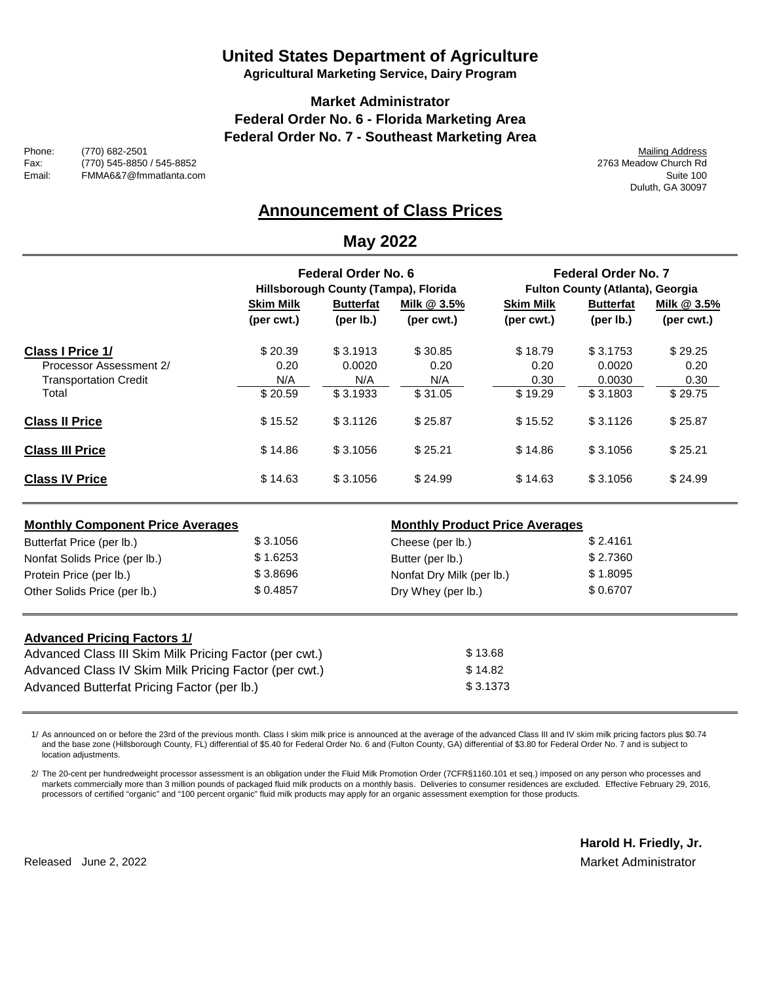# **United States Department of Agriculture**

**Agricultural Marketing Service, Dairy Program**

### **Market Administrator Federal Order No. 6 - Florida Marketing Area Federal Order No. 7 - Southeast Marketing Area**

Phone: (770) 682-2501 Mailing Address Fax: (770) 545-8850 / 545-8852 2763 Meadow Church Rd FMMA6&7@fmmatlanta.com

Duluth, GA 30097

## **Announcement of Class Prices**

### **May 2022**

|                                         | Federal Order No. 6<br>Hillsborough County (Tampa), Florida |                               |                                  | <b>Federal Order No. 7</b><br>Fulton County (Atlanta), Georgia |                                        |                                  |
|-----------------------------------------|-------------------------------------------------------------|-------------------------------|----------------------------------|----------------------------------------------------------------|----------------------------------------|----------------------------------|
|                                         | <b>Skim Milk</b><br>(per cwt.)                              | <b>Butterfat</b><br>(per lb.) | <u>Milk @ 3.5%</u><br>(per cwt.) | <b>Skim Milk</b><br>(per cwt.)                                 | <b>Butterfat</b><br>(per $I_{\rm b}$ ) | <u>Milk @ 3.5%</u><br>(per cwt.) |
| Class I Price 1/                        | \$20.39                                                     | \$3.1913                      | \$30.85                          | \$18.79                                                        | \$3.1753                               | \$29.25                          |
| Processor Assessment 2/                 | 0.20                                                        | 0.0020                        | 0.20                             | 0.20                                                           | 0.0020                                 | 0.20                             |
| <b>Transportation Credit</b>            | N/A                                                         | N/A                           | N/A                              | 0.30                                                           | 0.0030                                 | 0.30                             |
| Total                                   | \$20.59                                                     | \$3.1933                      | \$31.05                          | \$19.29                                                        | \$3.1803                               | \$29.75                          |
| <b>Class II Price</b>                   | \$15.52                                                     | \$3.1126                      | \$25.87                          | \$15.52                                                        | \$3.1126                               | \$25.87                          |
| <b>Class III Price</b>                  | \$14.86                                                     | \$3.1056                      | \$25.21                          | \$14.86                                                        | \$3.1056                               | \$25.21                          |
| <b>Class IV Price</b>                   | \$14.63                                                     | \$3.1056                      | \$24.99                          | \$14.63                                                        | \$3.1056                               | \$24.99                          |
| <b>Monthly Component Price Averages</b> |                                                             |                               |                                  | <b>Monthly Product Price Averages</b>                          |                                        |                                  |
| Butterfat Price (per lb.)               | \$3.1056                                                    |                               | Cheese (per lb.)                 |                                                                | \$2.4161                               |                                  |
| Nonfat Solids Price (per lb.)           | \$1.6253                                                    |                               | Butter (per lb.)                 |                                                                | \$2.7360                               |                                  |
| Protein Price (per lb.)                 | \$3.8696                                                    |                               | Nonfat Dry Milk (per lb.)        |                                                                | \$1.8095                               |                                  |
| Other Solids Price (per lb.)            | \$0.4857                                                    |                               | Dry Whey (per lb.)               |                                                                | \$0.6707                               |                                  |
| Advanced Dricing Eactors 1/             |                                                             |                               |                                  |                                                                |                                        |                                  |

| Auvancea Filenig Factors II                            |          |
|--------------------------------------------------------|----------|
| Advanced Class III Skim Milk Pricing Factor (per cwt.) | \$13.68  |
| Advanced Class IV Skim Milk Pricing Factor (per cwt.)  | \$14.82  |
| Advanced Butterfat Pricing Factor (per lb.)            | \$3.1373 |
|                                                        |          |

1/ As announced on or before the 23rd of the previous month. Class I skim milk price is announced at the average of the advanced Class III and IV skim milk pricing factors plus \$0.74 and the base zone (Hillsborough County, FL) differential of \$5.40 for Federal Order No. 6 and (Fulton County, GA) differential of \$3.80 for Federal Order No. 7 and is subject to location adjustments.

2/ The 20-cent per hundredweight processor assessment is an obligation under the Fluid Milk Promotion Order (7CFR§1160.101 et seq.) imposed on any person who processes and markets commercially more than 3 million pounds of packaged fluid milk products on a monthly basis. Deliveries to consumer residences are excluded. Effective February 29, 2016, processors of certified "organic" and "100 percent organic" fluid milk products may apply for an organic assessment exemption for those products.